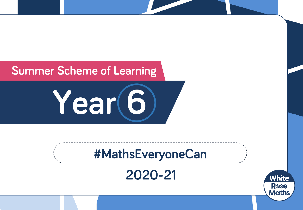### **Summer Scheme of Learning**

**Year 6**

# **#MathsEveryoneCan**

**2020-21**

White

**R**ose **Maths**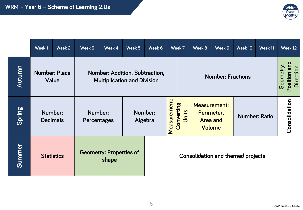

|        | Week 1                        | Week 2 | Week 3                                  | Week 4                                                               | Week 5             | Week 6                                   |                                     | Week 7 | Week 8                                                         | Week 9 | Week 10                                       | Week 11 | Week 12       |
|--------|-------------------------------|--------|-----------------------------------------|----------------------------------------------------------------------|--------------------|------------------------------------------|-------------------------------------|--------|----------------------------------------------------------------|--------|-----------------------------------------------|---------|---------------|
| Autumn | <b>Number: Place</b><br>Value |        |                                         | Number: Addition, Subtraction,<br><b>Multiplication and Division</b> |                    | <b>Number: Fractions</b>                 |                                     |        |                                                                |        | Position and<br>Geometry:<br><b>Direction</b> |         |               |
| Spring | Number:<br><b>Decimals</b>    |        | Number:<br>Percentages                  |                                                                      | Number:<br>Algebra |                                          | Measurement:<br>Converting<br>Units |        | <b>Measurement:</b><br>Perimeter,<br><b>Area and</b><br>Volume |        | <b>Number: Ratio</b>                          |         | Consolidation |
| Summer | <b>Statistics</b>             |        | <b>Geometry: Properties of</b><br>shape |                                                                      |                    | <b>Consolidation and themed projects</b> |                                     |        |                                                                |        |                                               |         |               |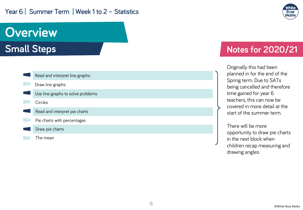#### Year 6 | Summer Term | Week 1 to 2 - Statistics



## **Overview**

**Small Steps**

| Read and interpret line graphs    |  |  |  |  |  |  |
|-----------------------------------|--|--|--|--|--|--|
| Draw line graphs                  |  |  |  |  |  |  |
| Use line graphs to solve problems |  |  |  |  |  |  |
| Circles                           |  |  |  |  |  |  |
| Read and interpret pie charts     |  |  |  |  |  |  |
| Pie charts with percentages       |  |  |  |  |  |  |
| Draw pie charts                   |  |  |  |  |  |  |
| The mean                          |  |  |  |  |  |  |

#### **Notes for 2020/21**

Originally this had been planned in for the end of the Spring term. Due to SATs being cancelled and therefore time gained for year 6 teachers, this can now be covered in more detail at the start of the summer term.

There will be more opportunity to draw pie charts in the next block when children recap measuring and drawing angles.